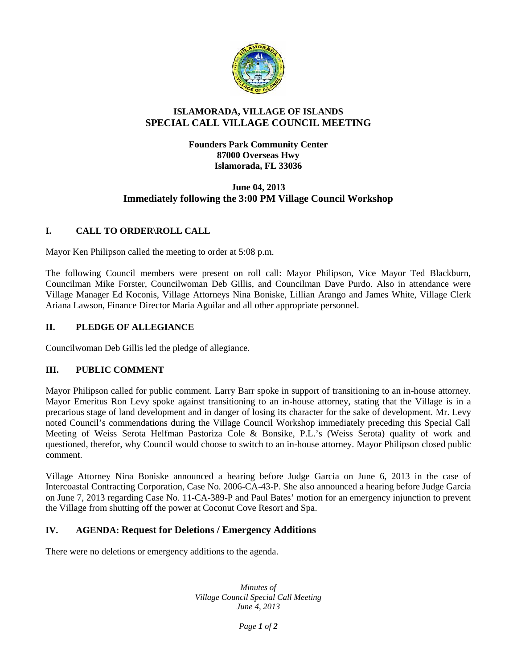

## **ISLAMORADA, VILLAGE OF ISLANDS SPECIAL CALL VILLAGE COUNCIL MEETING**

#### **Founders Park Community Center 87000 Overseas Hwy Islamorada, FL 33036**

## **June 04, 2013 Immediately following the 3:00 PM Village Council Workshop**

# **I. CALL TO ORDER\ROLL CALL**

Mayor Ken Philipson called the meeting to order at 5:08 p.m.

The following Council members were present on roll call: Mayor Philipson, Vice Mayor Ted Blackburn, Councilman Mike Forster, Councilwoman Deb Gillis, and Councilman Dave Purdo. Also in attendance were Village Manager Ed Koconis, Village Attorneys Nina Boniske, Lillian Arango and James White, Village Clerk Ariana Lawson, Finance Director Maria Aguilar and all other appropriate personnel.

## **II. PLEDGE OF ALLEGIANCE**

Councilwoman Deb Gillis led the pledge of allegiance.

## **III. PUBLIC COMMENT**

Mayor Philipson called for public comment. Larry Barr spoke in support of transitioning to an in-house attorney. Mayor Emeritus Ron Levy spoke against transitioning to an in-house attorney, stating that the Village is in a precarious stage of land development and in danger of losing its character for the sake of development. Mr. Levy noted Council's commendations during the Village Council Workshop immediately preceding this Special Call Meeting of Weiss Serota Helfman Pastoriza Cole & Bonsike, P.L.'s (Weiss Serota) quality of work and questioned, therefor, why Council would choose to switch to an in-house attorney. Mayor Philipson closed public comment.

Village Attorney Nina Boniske announced a hearing before Judge Garcia on June 6, 2013 in the case of Intercoastal Contracting Corporation, Case No. 2006-CA-43-P. She also announced a hearing before Judge Garcia on June 7, 2013 regarding Case No. 11-CA-389-P and Paul Bates' motion for an emergency injunction to prevent the Village from shutting off the power at Coconut Cove Resort and Spa.

## **IV. AGENDA: Request for Deletions / Emergency Additions**

There were no deletions or emergency additions to the agenda.

*Minutes of Village Council Special Call Meeting June 4, 2013*

*Page 1 of 2*